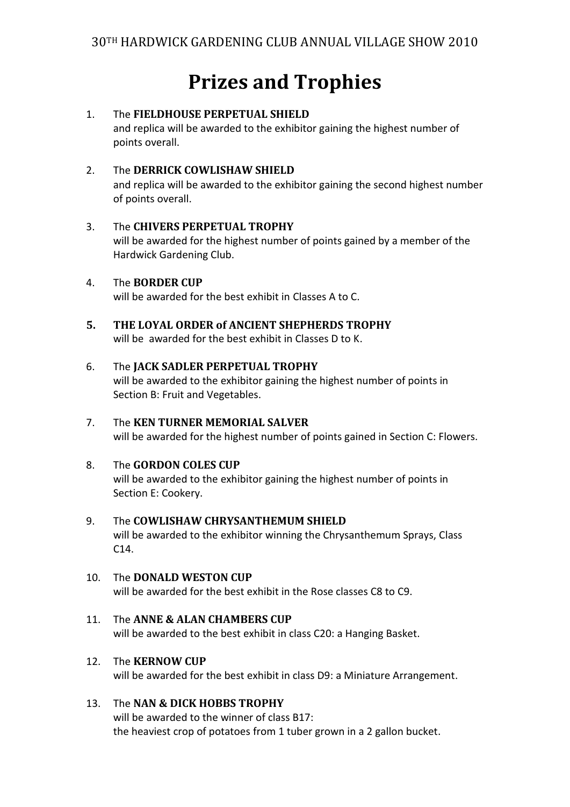# **Prizes and Trophies**

## 1. The **FIELDHOUSE PERPETUAL SHIELD**

and replica will be awarded to the exhibitor gaining the highest number of points overall.

## 2. The **DERRICK COWLISHAW SHIELD**

and replica will be awarded to the exhibitor gaining the second highest number of points overall.

## 3. The **CHIVERS PERPETUAL TROPHY**

will be awarded for the highest number of points gained by a member of the Hardwick Gardening Club.

4. The **BORDER CUP**

will be awarded for the best exhibit in Classes A to C.

**5. THE LOYAL ORDER of ANCIENT SHEPHERDS TROPHY**  will be awarded for the best exhibit in Classes D to K.

#### 6. The **JACK SADLER PERPETUAL TROPHY** will be awarded to the exhibitor gaining the highest number of points in Section B: Fruit and Vegetables.

- 7. The **KEN TURNER MEMORIAL SALVER** will be awarded for the highest number of points gained in Section C: Flowers.
- 8. The **GORDON COLES CUP** will be awarded to the exhibitor gaining the highest number of points in Section E: Cookery.
- 9. The **COWLISHAW CHRYSANTHEMUM SHIELD** will be awarded to the exhibitor winning the Chrysanthemum Sprays, Class C14.
- 10. The **DONALD WESTON CUP** will be awarded for the best exhibit in the Rose classes C8 to C9.
- 11. The **ANNE & ALAN CHAMBERS CUP** will be awarded to the best exhibit in class C20: a Hanging Basket.
- 12. The **KERNOW CUP**

will be awarded for the best exhibit in class D9: a Miniature Arrangement.

#### 13. The **NAN & DICK HOBBS TROPHY**

will be awarded to the winner of class B17: the heaviest crop of potatoes from 1 tuber grown in a 2 gallon bucket.